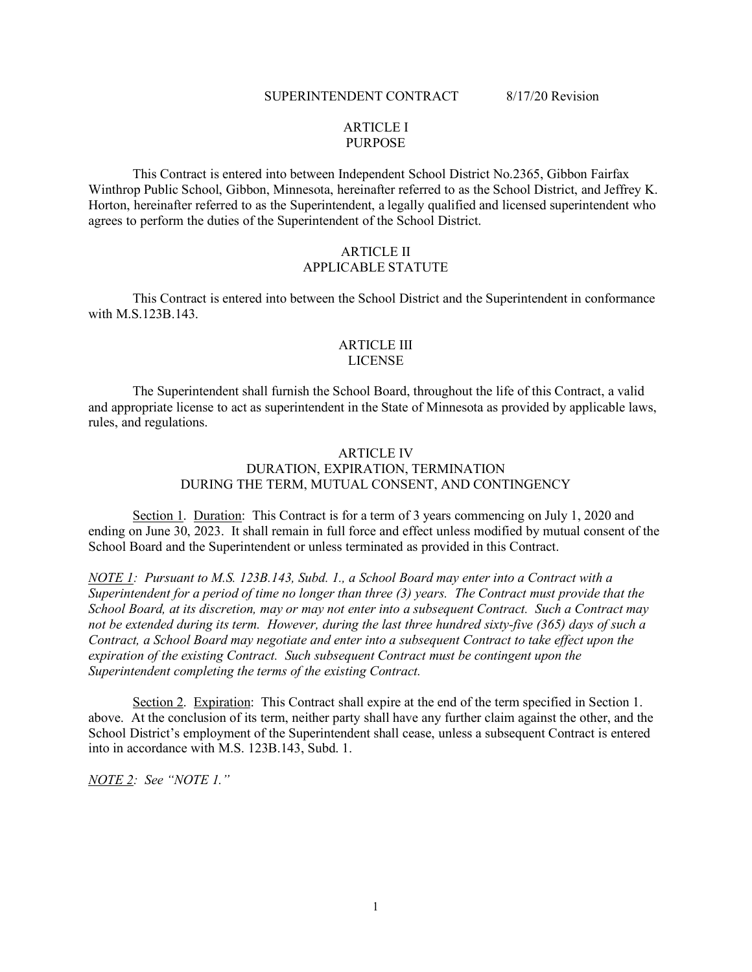### SUPERINTENDENT CONTRACT 8/17/20 Revision

# ARTICLE I PURPOSE

This Contract is entered into between Independent School District No.2365, Gibbon Fairfax Winthrop Public School, Gibbon, Minnesota, hereinafter referred to as the School District, and Jeffrey K. Horton, hereinafter referred to as the Superintendent, a legally qualified and licensed superintendent who agrees to perform the duties of the Superintendent of the School District.

## ARTICLE II APPLICABLE STATUTE

This Contract is entered into between the School District and the Superintendent in conformance with M.S.123B.143.

### ARTICLE III LICENSE

The Superintendent shall furnish the School Board, throughout the life of this Contract, a valid and appropriate license to act as superintendent in the State of Minnesota as provided by applicable laws, rules, and regulations.

## ARTICLE IV DURATION, EXPIRATION, TERMINATION DURING THE TERM, MUTUAL CONSENT, AND CONTINGENCY

Section 1. Duration: This Contract is for a term of 3 years commencing on July 1, 2020 and ending on June 30, 2023. It shall remain in full force and effect unless modified by mutual consent of the School Board and the Superintendent or unless terminated as provided in this Contract.

*NOTE 1: Pursuant to M.S. 123B.143, Subd. 1., a School Board may enter into a Contract with a Superintendent for a period of time no longer than three (3) years. The Contract must provide that the School Board, at its discretion, may or may not enter into a subsequent Contract. Such a Contract may not be extended during its term. However, during the last three hundred sixty-five (365) days of such a Contract, a School Board may negotiate and enter into a subsequent Contract to take effect upon the expiration of the existing Contract. Such subsequent Contract must be contingent upon the Superintendent completing the terms of the existing Contract.*

Section 2. Expiration: This Contract shall expire at the end of the term specified in Section 1. above. At the conclusion of its term, neither party shall have any further claim against the other, and the School District's employment of the Superintendent shall cease, unless a subsequent Contract is entered into in accordance with M.S. 123B.143, Subd. 1.

*NOTE 2: See "NOTE 1."*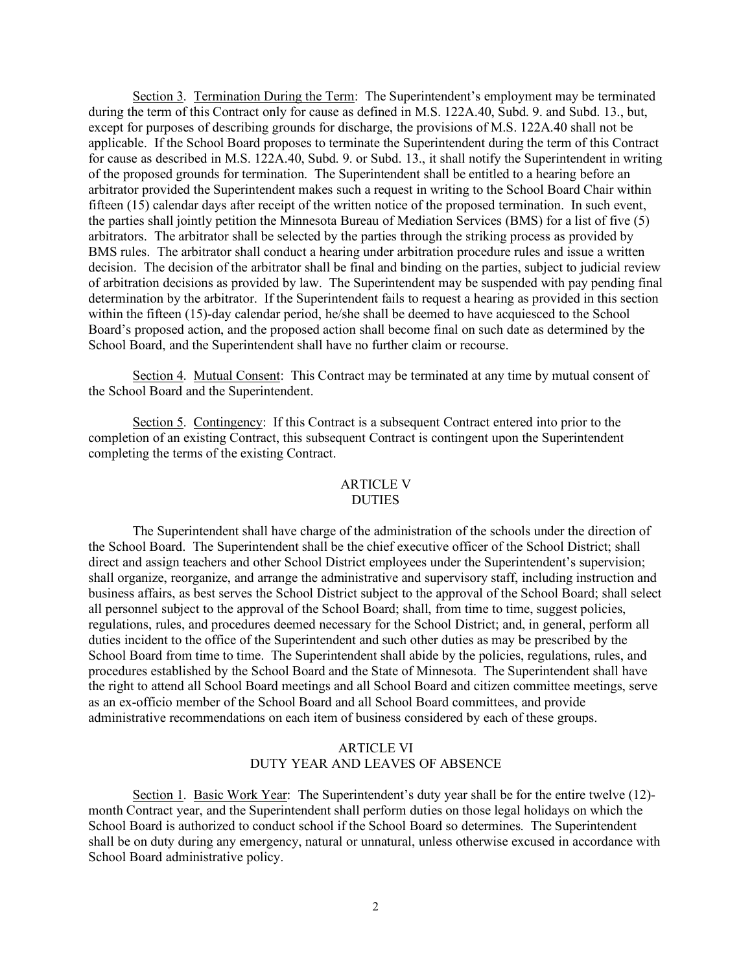Section 3. Termination During the Term: The Superintendent's employment may be terminated during the term of this Contract only for cause as defined in M.S. 122A.40, Subd. 9. and Subd. 13., but, except for purposes of describing grounds for discharge, the provisions of M.S. 122A.40 shall not be applicable. If the School Board proposes to terminate the Superintendent during the term of this Contract for cause as described in M.S. 122A.40, Subd. 9. or Subd. 13., it shall notify the Superintendent in writing of the proposed grounds for termination. The Superintendent shall be entitled to a hearing before an arbitrator provided the Superintendent makes such a request in writing to the School Board Chair within fifteen (15) calendar days after receipt of the written notice of the proposed termination. In such event, the parties shall jointly petition the Minnesota Bureau of Mediation Services (BMS) for a list of five (5) arbitrators. The arbitrator shall be selected by the parties through the striking process as provided by BMS rules. The arbitrator shall conduct a hearing under arbitration procedure rules and issue a written decision. The decision of the arbitrator shall be final and binding on the parties, subject to judicial review of arbitration decisions as provided by law. The Superintendent may be suspended with pay pending final determination by the arbitrator. If the Superintendent fails to request a hearing as provided in this section within the fifteen (15)-day calendar period, he/she shall be deemed to have acquiesced to the School Board's proposed action, and the proposed action shall become final on such date as determined by the School Board, and the Superintendent shall have no further claim or recourse.

Section 4. Mutual Consent: This Contract may be terminated at any time by mutual consent of the School Board and the Superintendent.

Section 5. Contingency: If this Contract is a subsequent Contract entered into prior to the completion of an existing Contract, this subsequent Contract is contingent upon the Superintendent completing the terms of the existing Contract.

#### ARTICLE V DUTIES

The Superintendent shall have charge of the administration of the schools under the direction of the School Board. The Superintendent shall be the chief executive officer of the School District; shall direct and assign teachers and other School District employees under the Superintendent's supervision; shall organize, reorganize, and arrange the administrative and supervisory staff, including instruction and business affairs, as best serves the School District subject to the approval of the School Board; shall select all personnel subject to the approval of the School Board; shall, from time to time, suggest policies, regulations, rules, and procedures deemed necessary for the School District; and, in general, perform all duties incident to the office of the Superintendent and such other duties as may be prescribed by the School Board from time to time. The Superintendent shall abide by the policies, regulations, rules, and procedures established by the School Board and the State of Minnesota. The Superintendent shall have the right to attend all School Board meetings and all School Board and citizen committee meetings, serve as an ex-officio member of the School Board and all School Board committees, and provide administrative recommendations on each item of business considered by each of these groups.

# ARTICLE VI DUTY YEAR AND LEAVES OF ABSENCE

Section 1. Basic Work Year: The Superintendent's duty year shall be for the entire twelve (12) month Contract year, and the Superintendent shall perform duties on those legal holidays on which the School Board is authorized to conduct school if the School Board so determines. The Superintendent shall be on duty during any emergency, natural or unnatural, unless otherwise excused in accordance with School Board administrative policy.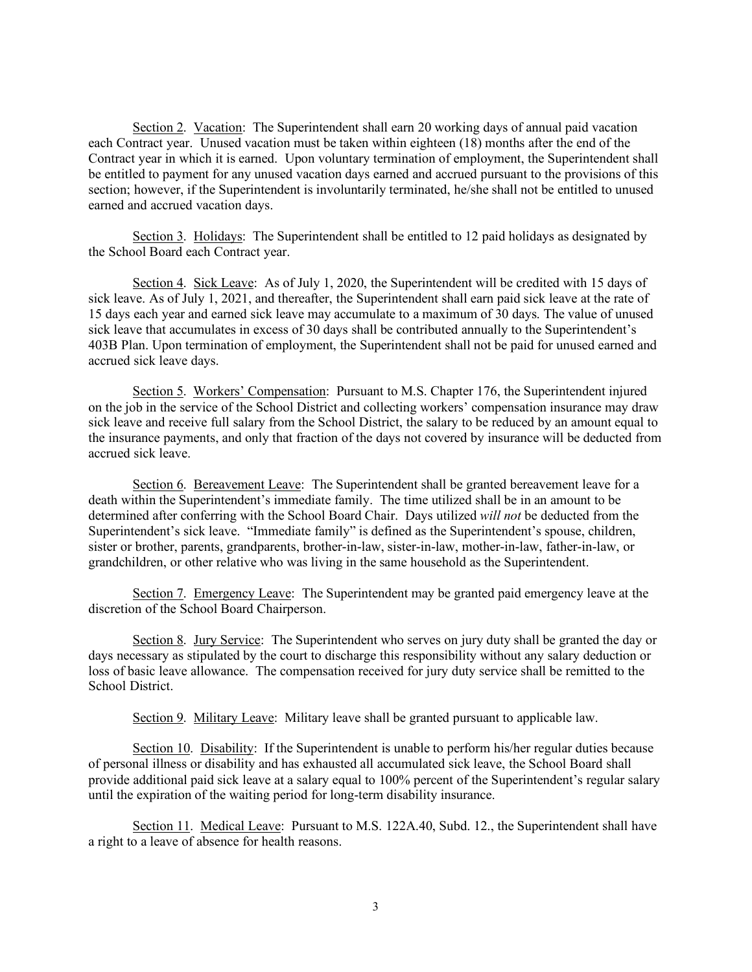Section 2. Vacation: The Superintendent shall earn 20 working days of annual paid vacation each Contract year. Unused vacation must be taken within eighteen (18) months after the end of the Contract year in which it is earned. Upon voluntary termination of employment, the Superintendent shall be entitled to payment for any unused vacation days earned and accrued pursuant to the provisions of this section; however, if the Superintendent is involuntarily terminated, he/she shall not be entitled to unused earned and accrued vacation days.

Section 3. Holidays: The Superintendent shall be entitled to 12 paid holidays as designated by the School Board each Contract year.

Section 4. Sick Leave: As of July 1, 2020, the Superintendent will be credited with 15 days of sick leave. As of July 1, 2021, and thereafter, the Superintendent shall earn paid sick leave at the rate of 15 days each year and earned sick leave may accumulate to a maximum of 30 days. The value of unused sick leave that accumulates in excess of 30 days shall be contributed annually to the Superintendent's 403B Plan. Upon termination of employment, the Superintendent shall not be paid for unused earned and accrued sick leave days.

Section 5. Workers' Compensation: Pursuant to M.S. Chapter 176, the Superintendent injured on the job in the service of the School District and collecting workers' compensation insurance may draw sick leave and receive full salary from the School District, the salary to be reduced by an amount equal to the insurance payments, and only that fraction of the days not covered by insurance will be deducted from accrued sick leave.

Section 6. Bereavement Leave: The Superintendent shall be granted bereavement leave for a death within the Superintendent's immediate family. The time utilized shall be in an amount to be determined after conferring with the School Board Chair. Days utilized *will not* be deducted from the Superintendent's sick leave. "Immediate family" is defined as the Superintendent's spouse, children, sister or brother, parents, grandparents, brother-in-law, sister-in-law, mother-in-law, father-in-law, or grandchildren, or other relative who was living in the same household as the Superintendent.

Section 7. Emergency Leave: The Superintendent may be granted paid emergency leave at the discretion of the School Board Chairperson.

Section 8. Jury Service: The Superintendent who serves on jury duty shall be granted the day or days necessary as stipulated by the court to discharge this responsibility without any salary deduction or loss of basic leave allowance. The compensation received for jury duty service shall be remitted to the School District.

Section 9. Military Leave: Military leave shall be granted pursuant to applicable law.

Section 10. Disability: If the Superintendent is unable to perform his/her regular duties because of personal illness or disability and has exhausted all accumulated sick leave, the School Board shall provide additional paid sick leave at a salary equal to 100% percent of the Superintendent's regular salary until the expiration of the waiting period for long-term disability insurance.

Section 11. Medical Leave: Pursuant to M.S. 122A.40, Subd. 12., the Superintendent shall have a right to a leave of absence for health reasons.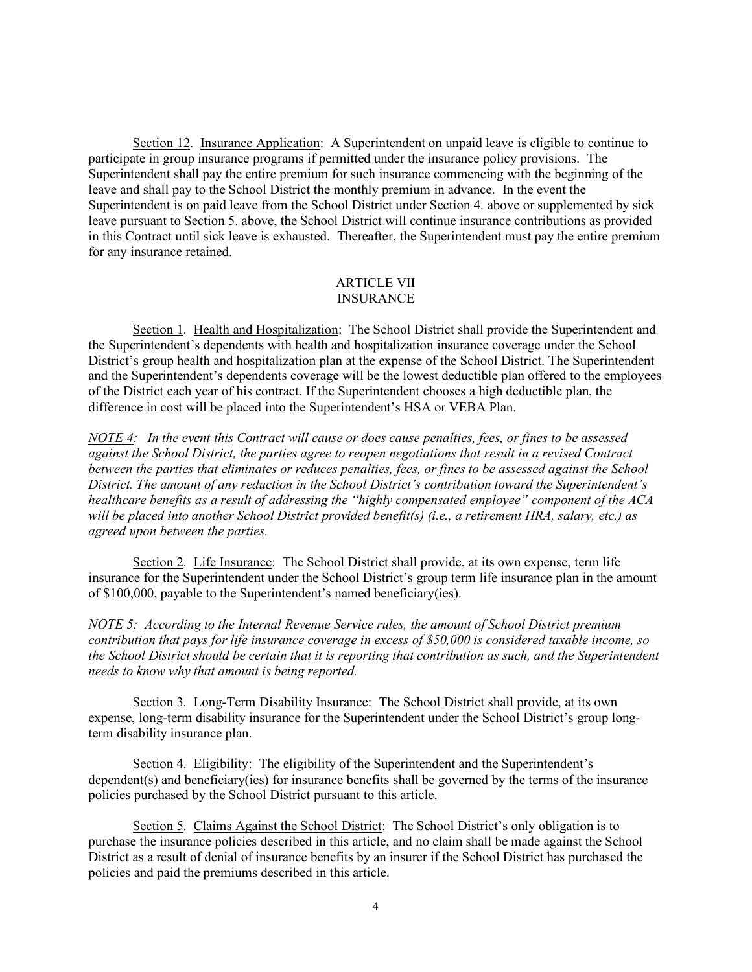Section 12. Insurance Application: A Superintendent on unpaid leave is eligible to continue to participate in group insurance programs if permitted under the insurance policy provisions. The Superintendent shall pay the entire premium for such insurance commencing with the beginning of the leave and shall pay to the School District the monthly premium in advance. In the event the Superintendent is on paid leave from the School District under Section 4. above or supplemented by sick leave pursuant to Section 5. above, the School District will continue insurance contributions as provided in this Contract until sick leave is exhausted. Thereafter, the Superintendent must pay the entire premium for any insurance retained.

## ARTICLE VII **INSURANCE**

Section 1. Health and Hospitalization: The School District shall provide the Superintendent and the Superintendent's dependents with health and hospitalization insurance coverage under the School District's group health and hospitalization plan at the expense of the School District. The Superintendent and the Superintendent's dependents coverage will be the lowest deductible plan offered to the employees of the District each year of his contract. If the Superintendent chooses a high deductible plan, the difference in cost will be placed into the Superintendent's HSA or VEBA Plan.

*NOTE 4: In the event this Contract will cause or does cause penalties, fees, or fines to be assessed against the School District, the parties agree to reopen negotiations that result in a revised Contract between the parties that eliminates or reduces penalties, fees, or fines to be assessed against the School District. The amount of any reduction in the School District's contribution toward the Superintendent's healthcare benefits as a result of addressing the "highly compensated employee" component of the ACA will be placed into another School District provided benefit(s) (i.e., a retirement HRA, salary, etc.) as agreed upon between the parties.*

Section 2. Life Insurance: The School District shall provide, at its own expense, term life insurance for the Superintendent under the School District's group term life insurance plan in the amount of \$100,000, payable to the Superintendent's named beneficiary(ies).

*NOTE 5: According to the Internal Revenue Service rules, the amount of School District premium contribution that pays for life insurance coverage in excess of \$50,000 is considered taxable income, so the School District should be certain that it is reporting that contribution as such, and the Superintendent needs to know why that amount is being reported.*

Section 3. Long-Term Disability Insurance: The School District shall provide, at its own expense, long-term disability insurance for the Superintendent under the School District's group longterm disability insurance plan.

Section 4. Eligibility: The eligibility of the Superintendent and the Superintendent's dependent(s) and beneficiary(ies) for insurance benefits shall be governed by the terms of the insurance policies purchased by the School District pursuant to this article.

Section 5. Claims Against the School District: The School District's only obligation is to purchase the insurance policies described in this article, and no claim shall be made against the School District as a result of denial of insurance benefits by an insurer if the School District has purchased the policies and paid the premiums described in this article.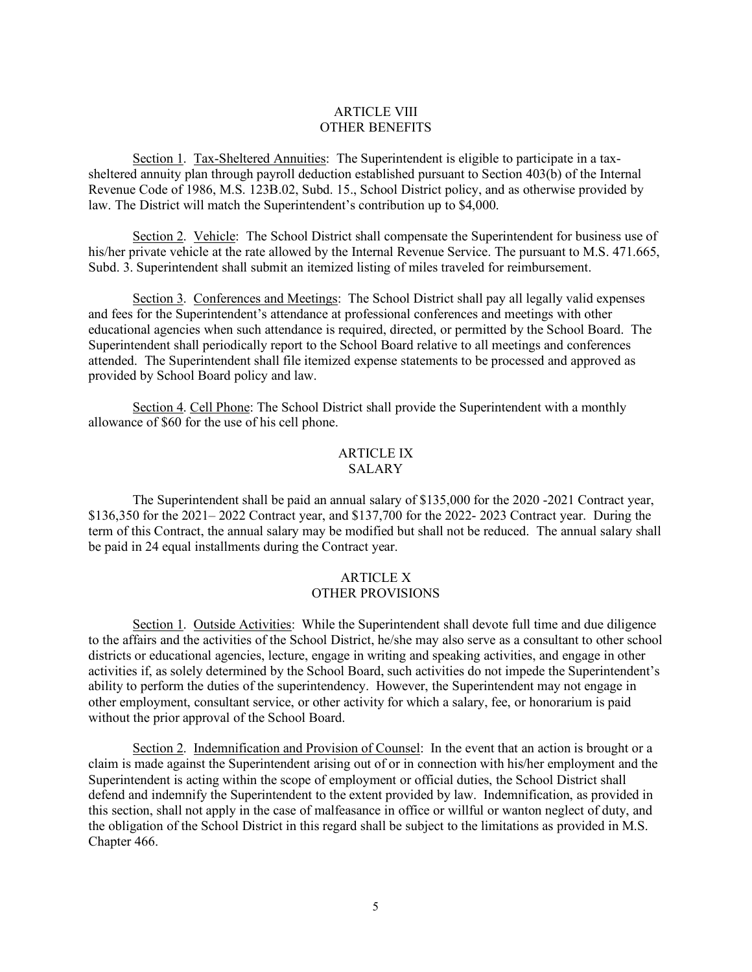## ARTICLE VIII OTHER BENEFITS

Section 1. Tax-Sheltered Annuities: The Superintendent is eligible to participate in a taxsheltered annuity plan through payroll deduction established pursuant to Section 403(b) of the Internal Revenue Code of 1986, M.S. 123B.02, Subd. 15., School District policy, and as otherwise provided by law. The District will match the Superintendent's contribution up to \$4,000.

Section 2. Vehicle: The School District shall compensate the Superintendent for business use of his/her private vehicle at the rate allowed by the Internal Revenue Service. The pursuant to M.S. 471.665, Subd. 3. Superintendent shall submit an itemized listing of miles traveled for reimbursement.

Section 3. Conferences and Meetings: The School District shall pay all legally valid expenses and fees for the Superintendent's attendance at professional conferences and meetings with other educational agencies when such attendance is required, directed, or permitted by the School Board. The Superintendent shall periodically report to the School Board relative to all meetings and conferences attended. The Superintendent shall file itemized expense statements to be processed and approved as provided by School Board policy and law.

Section 4. Cell Phone: The School District shall provide the Superintendent with a monthly allowance of \$60 for the use of his cell phone.

## ARTICLE IX SALARY

The Superintendent shall be paid an annual salary of \$135,000 for the 2020 -2021 Contract year, \$136,350 for the 2021– 2022 Contract year, and \$137,700 for the 2022- 2023 Contract year. During the term of this Contract, the annual salary may be modified but shall not be reduced. The annual salary shall be paid in 24 equal installments during the Contract year.

## ARTICLE X OTHER PROVISIONS

Section 1. Outside Activities: While the Superintendent shall devote full time and due diligence to the affairs and the activities of the School District, he/she may also serve as a consultant to other school districts or educational agencies, lecture, engage in writing and speaking activities, and engage in other activities if, as solely determined by the School Board, such activities do not impede the Superintendent's ability to perform the duties of the superintendency. However, the Superintendent may not engage in other employment, consultant service, or other activity for which a salary, fee, or honorarium is paid without the prior approval of the School Board.

Section 2. Indemnification and Provision of Counsel: In the event that an action is brought or a claim is made against the Superintendent arising out of or in connection with his/her employment and the Superintendent is acting within the scope of employment or official duties, the School District shall defend and indemnify the Superintendent to the extent provided by law. Indemnification, as provided in this section, shall not apply in the case of malfeasance in office or willful or wanton neglect of duty, and the obligation of the School District in this regard shall be subject to the limitations as provided in M.S. Chapter 466.